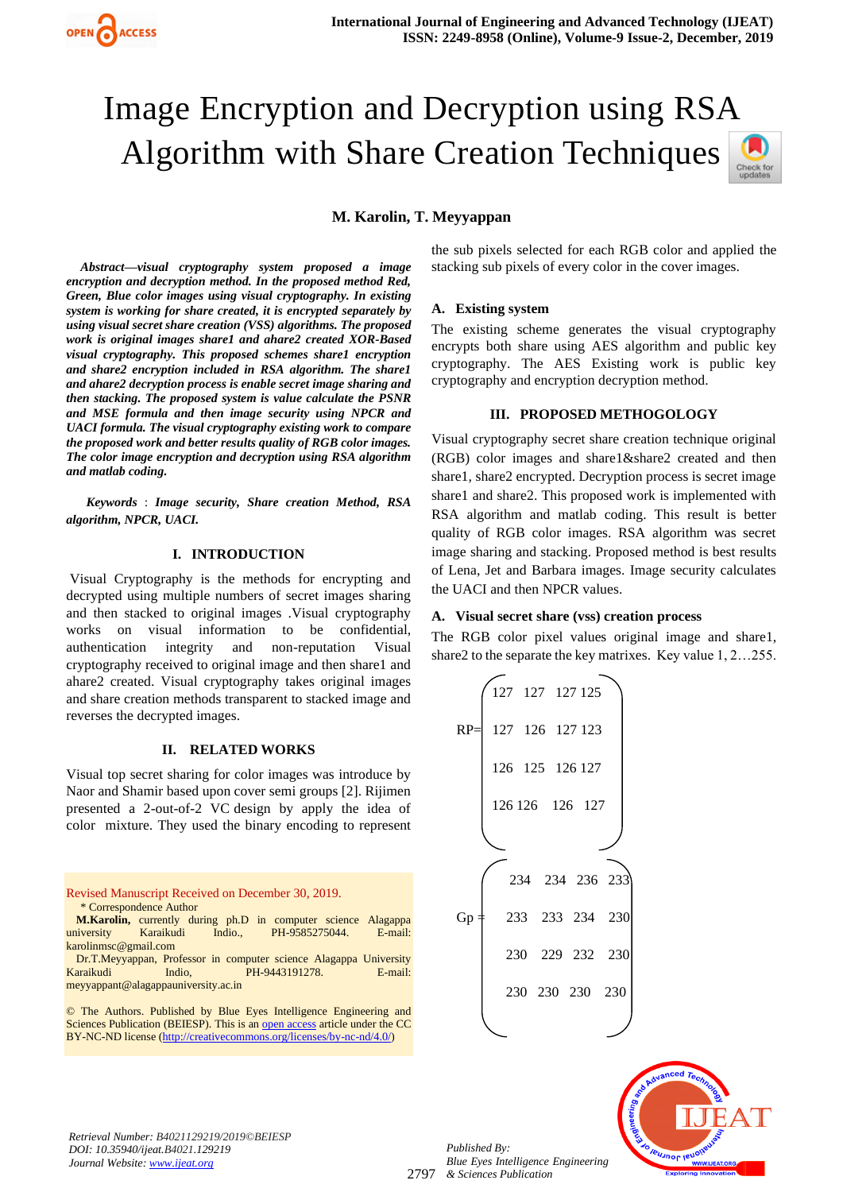# Image Encryption and Decryption using RSA Algorithm with Share Creation Techniques

#### **M. Karolin, T. Meyyappan**

*Abstract—visual cryptography system proposed a image encryption and decryption method. In the proposed method Red, Green, Blue color images using visual cryptography. In existing system is working for share created, it is encrypted separately by using visual secret share creation (VSS) algorithms. The proposed work is original images share1 and ahare2 created XOR-Based visual cryptography. This proposed schemes share1 encryption and share2 encryption included in RSA algorithm. The share1 and ahare2 decryption process is enable secret image sharing and then stacking. The proposed system is value calculate the PSNR and MSE formula and then image security using NPCR and UACI formula. The visual cryptography existing work to compare the proposed work and better results quality of RGB color images. The color image encryption and decryption using RSA algorithm and matlab coding.*

*Keywords* : *Image security, Share creation Method, RSA algorithm, NPCR, UACI.*

#### **I. INTRODUCTION**

Visual Cryptography is the methods for encrypting and decrypted using multiple numbers of secret images sharing and then stacked to original images .Visual cryptography works on visual information to be confidential, authentication integrity and non-reputation Visual cryptography received to original image and then share1 and ahare2 created. Visual cryptography takes original images and share creation methods transparent to stacked image and reverses the decrypted images.

#### **II. RELATED WORKS**

Visual top secret sharing for color images was introduce by Naor and Shamir based upon cover semi groups [2]. Rijimen presented a 2-out-of-2 VC design by apply the idea of color mixture. They used the binary encoding to represent

Revised Manuscript Received on December 30, 2019. \* Correspondence Author

**M.Karolin,** currently during ph.D in computer science Alagappa university Karaikudi Indio., PH-9585275044. E-mail: [karolinmsc@gmail.com](mailto:karolinmsc@gmail.com)

Dr.T.Meyyappan, Professor in computer science Alagappa University Karaikudi Indio, PH-9443191278. E-mail: [meyyappant@alagappauniversity.ac.in](mailto:meyyappant@alagappauniversity.ac.in)

© The Authors. Published by Blue Eyes Intelligence Engineering and Sciences Publication (BEIESP). This is a[n open access](https://www.openaccess.nl/en/open-publications) article under the CC BY-NC-ND license [\(http://creativecommons.org/licenses/by-nc-nd/4.0/\)](http://creativecommons.org/licenses/by-nc-nd/4.0/)

the sub pixels selected for each RGB color and applied the stacking sub pixels of every color in the cover images.

#### **A. Existing system**

The existing scheme generates the visual cryptography encrypts both share using AES algorithm and public key cryptography. The AES Existing work is public key cryptography and encryption decryption method.

#### **III. PROPOSED METHOGOLOGY**

Visual cryptography secret share creation technique original (RGB) color images and share1&share2 created and then share1, share2 encrypted. Decryption process is secret image share1 and share2. This proposed work is implemented with RSA algorithm and matlab coding. This result is better quality of RGB color images. RSA algorithm was secret image sharing and stacking. Proposed method is best results of Lena, Jet and Barbara images. Image security calculates the UACI and then NPCR values.

#### **A. Visual secret share (vss) creation process**

The RGB color pixel values original image and share1, share2 to the separate the key matrixes. Key value 1, 2…255.





*Retrieval Number: B4021129219/2019©BEIESP DOI: 10.35940/ijeat.B4021.129219 Journal Website[: www.ijeat.org](http://www.ijeat.org/)*

2797 *& Sciences Publication Published By: Blue Eyes Intelligence Engineering*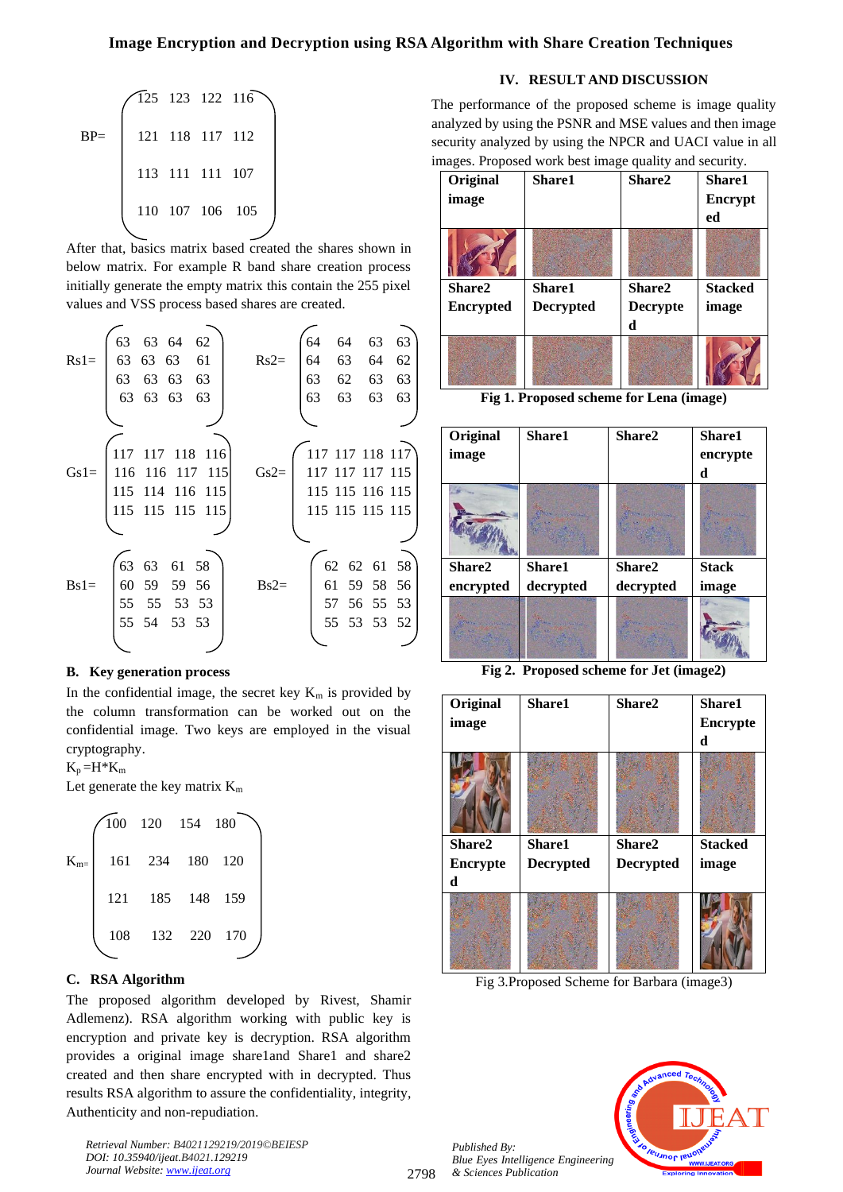$$
BP = \begin{pmatrix} 125 & 123 & 122 & 116 \\ 121 & 118 & 117 & 112 \\ 113 & 111 & 111 & 107 \\ 110 & 107 & 106 & 105 \end{pmatrix}
$$

After that, basics matrix based created the shares shown in below matrix. For example R band share creation process initially generate the empty matrix this contain the 255 pixel values and VSS process based shares are created.



#### **B. Key generation process**

In the confidential image, the secret key  $K_m$  is provided by the column transformation can be worked out on the confidential image. Two keys are employed in the visual cryptography.

 $K_p = H^*K_m$ 

Let generate the key matrix  $K_m$ 



#### **C. RSA Algorithm**

The proposed algorithm developed by Rivest, Shamir Adlemenz). RSA algorithm working with public key is encryption and private key is decryption. RSA algorithm provides a original image share1and Share1 and share2 created and then share encrypted with in decrypted. Thus results RSA algorithm to assure the confidentiality, integrity, Authenticity and non-repudiation.

*Retrieval Number: B4021129219/2019©BEIESP DOI: 10.35940/ijeat.B4021.129219 Journal Website[: www.ijeat.org](http://www.ijeat.org/)*

#### **IV. RESULT AND DISCUSSION**

The performance of the proposed scheme is image quality analyzed by using the PSNR and MSE values and then image security analyzed by using the NPCR and UACI value in all images. Proposed work best image quality and security.

| Original         | Share1    | Share2   | Share1         |
|------------------|-----------|----------|----------------|
| image            |           |          | Encrypt        |
|                  |           |          | ed             |
|                  |           |          |                |
|                  |           |          |                |
| Share2           | Share1    | Share2   | <b>Stacked</b> |
| <b>Encrypted</b> | Decrypted | Decrypte | image          |
|                  |           | d        |                |

**Fig 1. Proposed scheme for Lena (image)**

| Original  | Share1    | Share2    | <b>Share1</b> |  |
|-----------|-----------|-----------|---------------|--|
| image     |           |           | encrypte      |  |
|           |           |           | d             |  |
|           |           |           |               |  |
| Share2    | Share1    | Share2    | <b>Stack</b>  |  |
| encrypted | decrypted | decrypted | image         |  |
|           |           |           |               |  |

**Fig 2. Proposed scheme for Jet (image2)**

| Original<br>image | Share1           | Share2           | Share1<br><b>Encrypte</b><br>d |
|-------------------|------------------|------------------|--------------------------------|
|                   |                  |                  |                                |
| Share2            | Share1           | Share2           | <b>Stacked</b>                 |
| <b>Encrypte</b>   | <b>Decrypted</b> | <b>Decrypted</b> | image                          |
| d                 |                  |                  |                                |
|                   |                  |                  |                                |

Fig 3.Proposed Scheme for Barbara (image3)

*Published By: Blue Eyes Intelligence Engineering & Sciences Publication* 

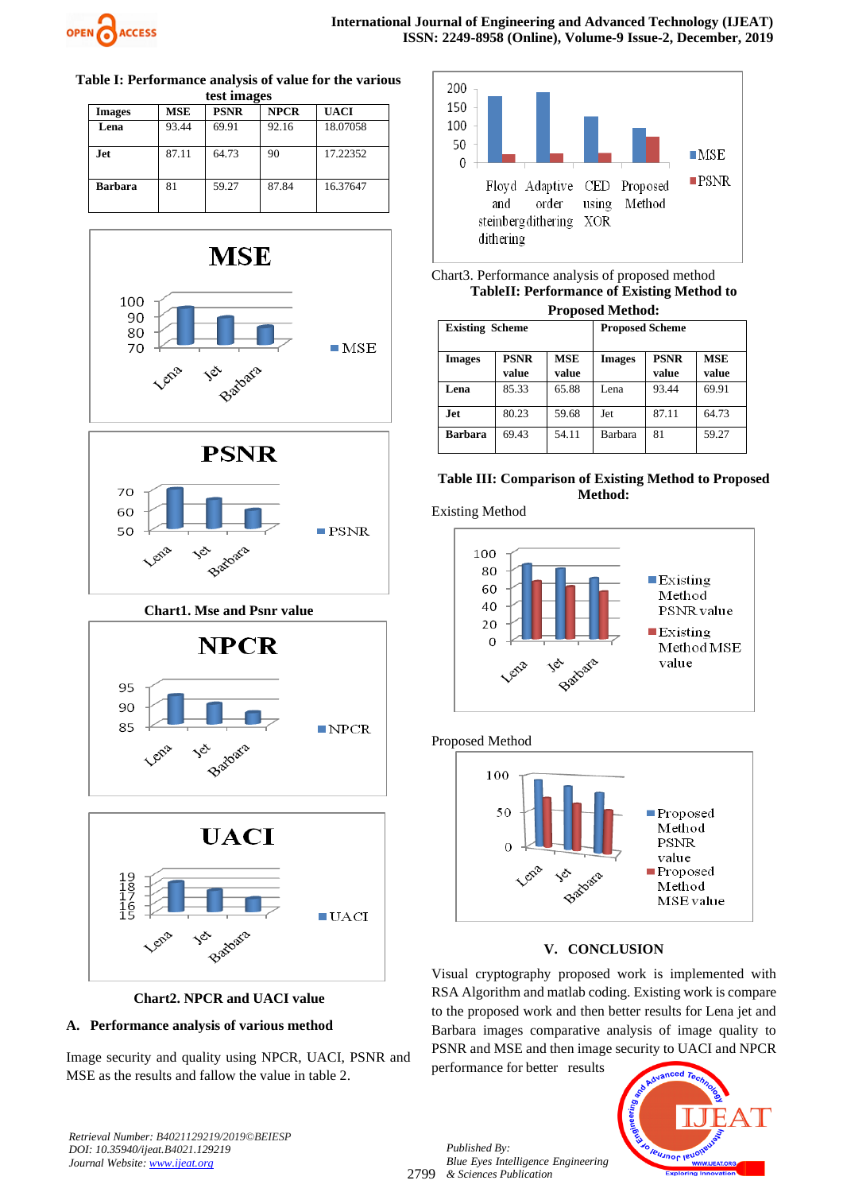

## **Table I: Performance analysis of value for the various**

| test images    |            |             |             |             |  |
|----------------|------------|-------------|-------------|-------------|--|
| <b>Images</b>  | <b>MSE</b> | <b>PSNR</b> | <b>NPCR</b> | <b>UACI</b> |  |
| Lena           | 93.44      | 69.91       | 92.16       | 18.07058    |  |
| Jet            | 87.11      | 64.73       | 90          | 17.22352    |  |
| <b>Barbara</b> | 81         | 59.27       | 87.84       | 16.37647    |  |





 **Chart2. NPCR and UACI value**

#### **A. Performance analysis of various method**

Image security and quality using NPCR, UACI, PSNR and MSE as the results and fallow the value in table 2.



| Chart <sub>3</sub> . Performance analysis of proposed method |
|--------------------------------------------------------------|
| <b>TableII: Performance of Existing Method to</b>            |
| <b>Proposed Method:</b>                                      |

| т торовса птенюм.      |                      |                        |               |                      |                     |
|------------------------|----------------------|------------------------|---------------|----------------------|---------------------|
| <b>Existing Scheme</b> |                      | <b>Proposed Scheme</b> |               |                      |                     |
| <b>Images</b>          | <b>PSNR</b><br>value | <b>MSE</b><br>value    | <b>Images</b> | <b>PSNR</b><br>value | <b>MSE</b><br>value |
| Lena                   | 85.33                | 65.88                  | Lena          | 93.44                | 69.91               |
| Jet                    | 80.23                | 59.68                  | Jet           | 87.11                | 64.73               |
| <b>Barbara</b>         | 69.43                | 54.11                  | Barbara       | 81                   | 59.27               |



Existing Method



#### Proposed Method



#### **V. CONCLUSION**

Visual cryptography proposed work is implemented with RSA Algorithm and matlab coding. Existing work is compare to the proposed work and then better results for Lena jet and Barbara images comparative analysis of image quality to PSNR and MSE and then image security to UACI and NPCR

performance for better results



2799 *& Sciences Publication Blue Eyes Intelligence Engineering* 

*Published By:*